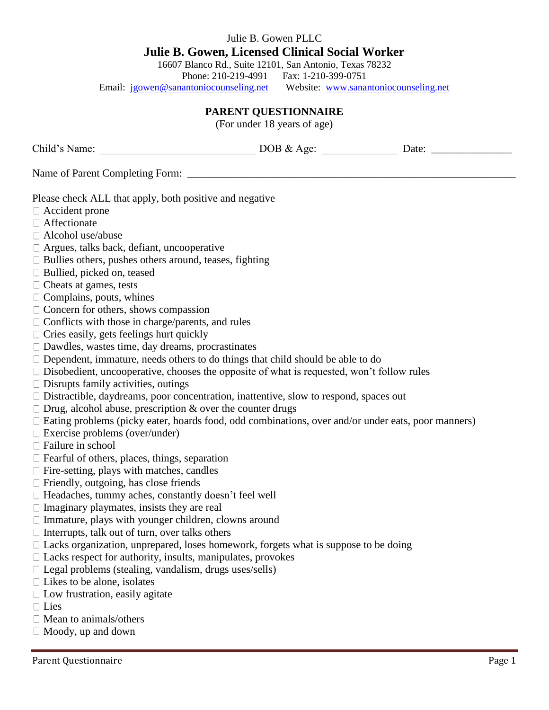## Julie B. Gowen PLLC **Julie B. Gowen, Licensed Clinical Social Worker**

16607 Blanco Rd., Suite 12101, San Antonio, Texas 78232

Phone: 210-219-4991 Fax: 1-210-399-0751<br>
Representing met Website: www.sanantoniocounseling.net Email: jgowen@sanantoniocounseling.net

## **PARENT QUESTIONNAIRE**

(For under 18 years of age)

| Child's Name:<br><u> 1999 - Johann Barbara, martin d</u>                                                                                                                                                                                                                                                                                                                                                                                                                                                                                                                                                                                                                                                                                                                                                                                                                                                                                                                                                                                                                                                                                                                                                                                                                                                                                                                                                                                                                                                                                                                                                                                                                                                                                                                                                                                                                | DOB & Age: | Date: |
|-------------------------------------------------------------------------------------------------------------------------------------------------------------------------------------------------------------------------------------------------------------------------------------------------------------------------------------------------------------------------------------------------------------------------------------------------------------------------------------------------------------------------------------------------------------------------------------------------------------------------------------------------------------------------------------------------------------------------------------------------------------------------------------------------------------------------------------------------------------------------------------------------------------------------------------------------------------------------------------------------------------------------------------------------------------------------------------------------------------------------------------------------------------------------------------------------------------------------------------------------------------------------------------------------------------------------------------------------------------------------------------------------------------------------------------------------------------------------------------------------------------------------------------------------------------------------------------------------------------------------------------------------------------------------------------------------------------------------------------------------------------------------------------------------------------------------------------------------------------------------|------------|-------|
|                                                                                                                                                                                                                                                                                                                                                                                                                                                                                                                                                                                                                                                                                                                                                                                                                                                                                                                                                                                                                                                                                                                                                                                                                                                                                                                                                                                                                                                                                                                                                                                                                                                                                                                                                                                                                                                                         |            |       |
| Please check ALL that apply, both positive and negative<br>$\Box$ Accident prone<br>□ Affectionate<br>$\Box$ Alcohol use/abuse<br>$\Box$ Argues, talks back, defiant, uncooperative<br>$\Box$ Bullies others, pushes others around, teases, fighting<br>$\Box$ Bullied, picked on, teased<br>$\Box$ Cheats at games, tests<br>$\Box$ Complains, pouts, whines<br>$\Box$ Concern for others, shows compassion<br>$\Box$ Conflicts with those in charge/parents, and rules<br>$\Box$ Cries easily, gets feelings hurt quickly<br>$\Box$ Dawdles, wastes time, day dreams, procrastinates<br>$\Box$ Dependent, immature, needs others to do things that child should be able to do<br>$\Box$ Disobedient, uncooperative, chooses the opposite of what is requested, won't follow rules<br>$\Box$ Disrupts family activities, outings<br>$\Box$ Distractible, daydreams, poor concentration, inattentive, slow to respond, spaces out<br>$\Box$ Drug, alcohol abuse, prescription & over the counter drugs<br>$\Box$ Eating problems (picky eater, hoards food, odd combinations, over and/or under eats, poor manners)<br>$\Box$ Exercise problems (over/under)<br>□ Failure in school<br>$\Box$ Fearful of others, places, things, separation<br>$\Box$ Fire-setting, plays with matches, candles<br>$\Box$ Friendly, outgoing, has close friends<br>$\Box$ Headaches, tummy aches, constantly doesn't feel well<br>$\Box$ Imaginary playmates, insists they are real<br>$\Box$ Immature, plays with younger children, clowns around<br>$\Box$ Interrupts, talk out of turn, over talks others<br>$\Box$ Lacks organization, unprepared, loses homework, forgets what is suppose to be doing<br>$\Box$ Lacks respect for authority, insults, manipulates, provokes<br>$\Box$ Legal problems (stealing, vandalism, drugs uses/sells)<br>$\Box$ Likes to be alone, isolates |            |       |
| $\Box$ Low frustration, easily agitate<br>$\Box$ Lies<br>$\Box$ Mean to animals/others                                                                                                                                                                                                                                                                                                                                                                                                                                                                                                                                                                                                                                                                                                                                                                                                                                                                                                                                                                                                                                                                                                                                                                                                                                                                                                                                                                                                                                                                                                                                                                                                                                                                                                                                                                                  |            |       |
| $\Box$ Moody, up and down                                                                                                                                                                                                                                                                                                                                                                                                                                                                                                                                                                                                                                                                                                                                                                                                                                                                                                                                                                                                                                                                                                                                                                                                                                                                                                                                                                                                                                                                                                                                                                                                                                                                                                                                                                                                                                               |            |       |